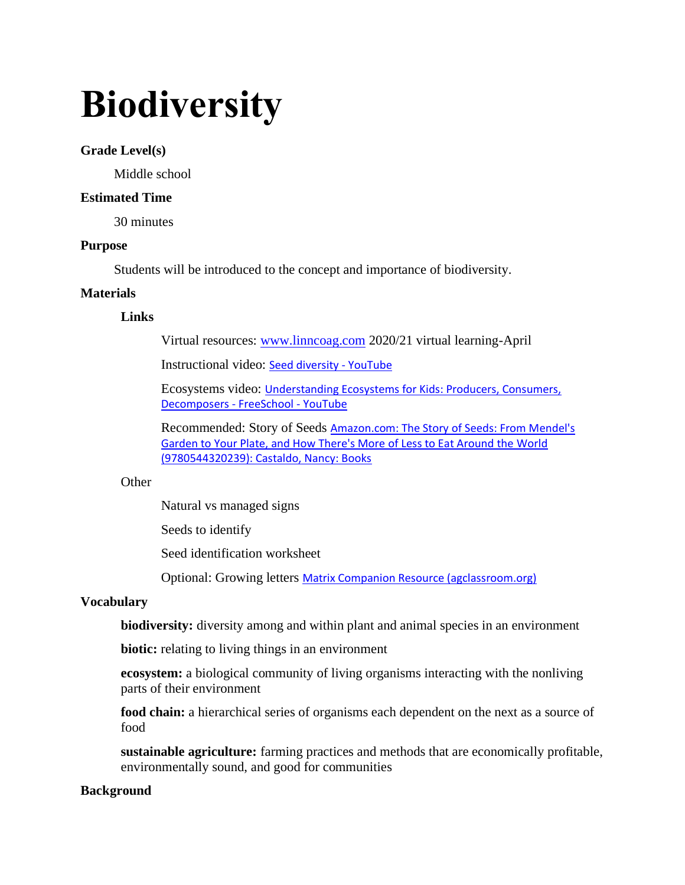# **Biodiversity**

### **Grade Level(s)**

Middle school

### **Estimated Time**

30 minutes

#### **Purpose**

Students will be introduced to the concept and importance of biodiversity.

### **Materials**

### **Links**

Virtual resources: [www.linncoag.com](http://www.linncoag.com/) 2020/21 virtual learning-April

Instructional video: [Seed diversity -](https://www.youtube.com/watch?v=_rvv2QFgrTI) YouTube

Ecosystems video: [Understanding Ecosystems for Kids: Producers, Consumers,](https://www.youtube.com/watch?v=bJEToQ49Yjc)  [Decomposers](https://www.youtube.com/watch?v=bJEToQ49Yjc) - FreeSchool - YouTube

Recommended: Story of Seeds Amazon.com: The Story of Seeds: From Mendel's [Garden to Your Plate, and How There's More of Less to Eat Around the World](https://www.amazon.com/Story-Seeds-Mendels-Garden-Theres/dp/0544320239)  [\(9780544320239\): Castaldo, Nancy: Books](https://www.amazon.com/Story-Seeds-Mendels-Garden-Theres/dp/0544320239)

#### **Other**

Natural vs managed signs

Seeds to identify

Seed identification worksheet

Optional: Growing letters [Matrix Companion Resource \(agclassroom.org\)](https://www.agclassroom.org/matrix/resource/70/)

### **Vocabulary**

**biodiversity:** diversity among and within plant and animal species in an environment

**biotic:** relating to living things in an environment

**ecosystem:** a biological community of living organisms interacting with the nonliving parts of their environment

**food chain:** a hierarchical series of organisms each dependent on the next as a source of food

**sustainable agriculture:** farming practices and methods that are economically profitable, environmentally sound, and good for communities

### **Background**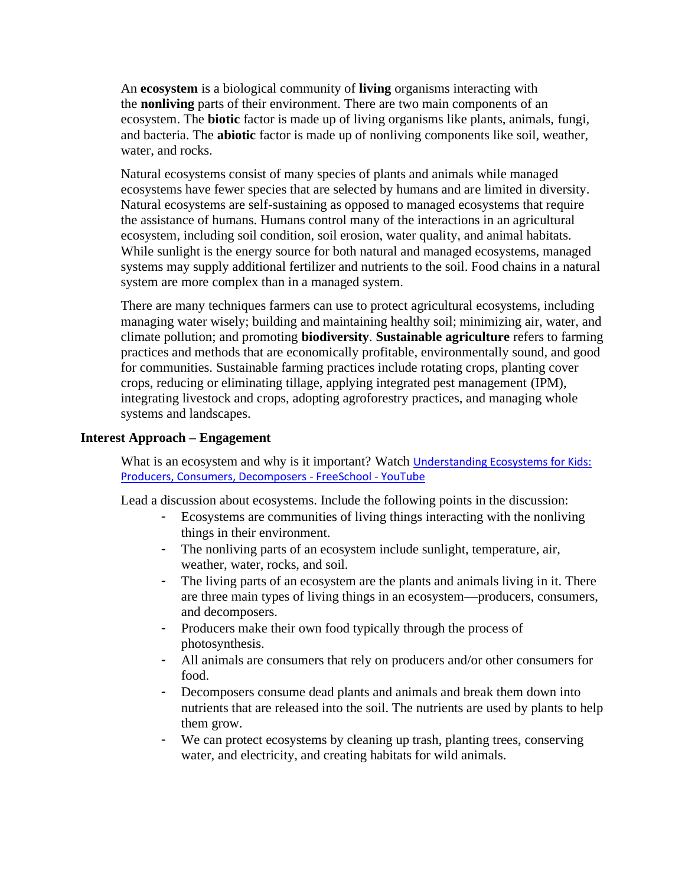An **ecosystem** is a biological community of **living** organisms interacting with the **nonliving** parts of their environment. There are two main components of an ecosystem. The **biotic** factor is made up of living organisms like plants, animals, fungi, and bacteria. The **abiotic** factor is made up of nonliving components like soil, weather, water, and rocks.

Natural ecosystems consist of many species of plants and animals while managed ecosystems have fewer species that are selected by humans and are limited in diversity. Natural ecosystems are self-sustaining as opposed to managed ecosystems that require the assistance of humans. Humans control many of the interactions in an agricultural ecosystem, including soil condition, soil erosion, water quality, and animal habitats. While sunlight is the energy source for both natural and managed ecosystems, managed systems may supply additional fertilizer and nutrients to the soil. Food chains in a natural system are more complex than in a managed system.

There are many techniques farmers can use to protect agricultural ecosystems, including managing water wisely; building and maintaining healthy soil; minimizing air, water, and climate pollution; and promoting **biodiversity**. **Sustainable agriculture** refers to farming practices and methods that are economically profitable, environmentally sound, and good for communities. Sustainable farming practices include rotating crops, planting cover crops, reducing or eliminating tillage, applying integrated pest management (IPM), integrating livestock and crops, adopting agroforestry practices, and managing whole systems and landscapes.

#### **Interest Approach – Engagement**

What is an ecosystem and why is it important? Watch Understanding Ecosystems for Kids: [Producers, Consumers, Decomposers -](https://www.youtube.com/watch?v=bJEToQ49Yjc) FreeSchool - YouTube

Lead a discussion about ecosystems. Include the following points in the discussion:

- Ecosystems are communities of living things interacting with the nonliving things in their environment.
- The nonliving parts of an ecosystem include sunlight, temperature, air, weather, water, rocks, and soil.
- The living parts of an ecosystem are the plants and animals living in it. There are three main types of living things in an ecosystem—producers, consumers, and decomposers.
- Producers make their own food typically through the process of photosynthesis.
- All animals are consumers that rely on producers and/or other consumers for food.
- Decomposers consume dead plants and animals and break them down into nutrients that are released into the soil. The nutrients are used by plants to help them grow.
- We can protect ecosystems by cleaning up trash, planting trees, conserving water, and electricity, and creating habitats for wild animals.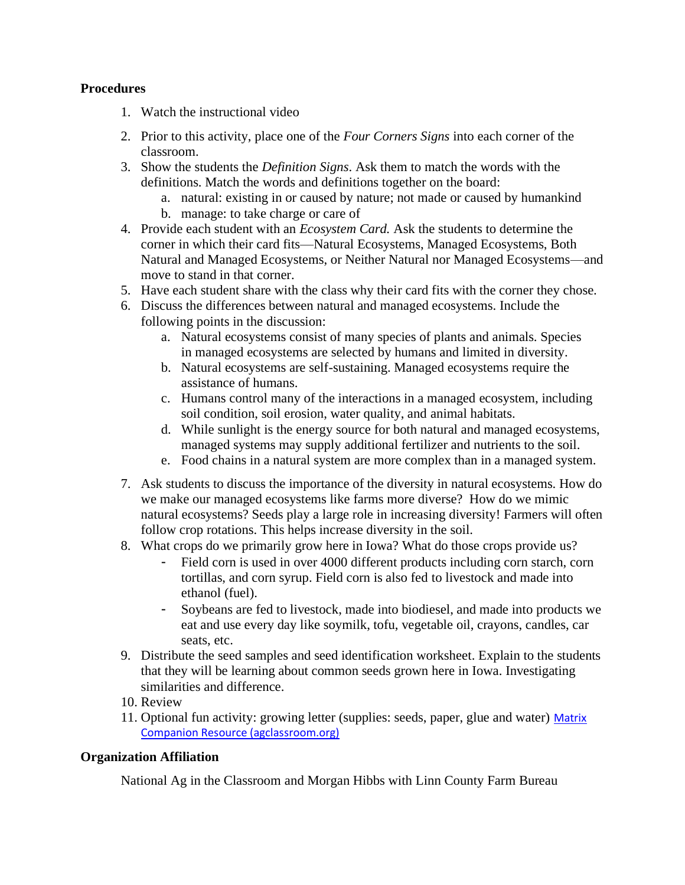## **Procedures**

- 1. Watch the instructional video
- 2. Prior to this activity, place one of the *Four Corners Signs* into each corner of the classroom.
- 3. Show the students the *Definition Signs*. Ask them to match the words with the definitions. Match the words and definitions together on the board:
	- a. natural: existing in or caused by nature; not made or caused by humankind
	- b. manage: to take charge or care of
- 4. Provide each student with an *Ecosystem Card.* Ask the students to determine the corner in which their card fits—Natural Ecosystems, Managed Ecosystems, Both Natural and Managed Ecosystems, or Neither Natural nor Managed Ecosystems—and move to stand in that corner.
- 5. Have each student share with the class why their card fits with the corner they chose.
- 6. Discuss the differences between natural and managed ecosystems. Include the following points in the discussion:
	- a. Natural ecosystems consist of many species of plants and animals. Species in managed ecosystems are selected by humans and limited in diversity.
	- b. Natural ecosystems are self-sustaining. Managed ecosystems require the assistance of humans.
	- c. Humans control many of the interactions in a managed ecosystem, including soil condition, soil erosion, water quality, and animal habitats.
	- d. While sunlight is the energy source for both natural and managed ecosystems, managed systems may supply additional fertilizer and nutrients to the soil.
	- e. Food chains in a natural system are more complex than in a managed system.
- 7. Ask students to discuss the importance of the diversity in natural ecosystems. How do we make our managed ecosystems like farms more diverse? How do we mimic natural ecosystems? Seeds play a large role in increasing diversity! Farmers will often follow crop rotations. This helps increase diversity in the soil.
- 8. What crops do we primarily grow here in Iowa? What do those crops provide us?
	- Field corn is used in over 4000 different products including corn starch, corn tortillas, and corn syrup. Field corn is also fed to livestock and made into ethanol (fuel).
	- Soybeans are fed to livestock, made into biodiesel, and made into products we eat and use every day like soymilk, tofu, vegetable oil, crayons, candles, car seats, etc.
- 9. Distribute the seed samples and seed identification worksheet. Explain to the students that they will be learning about common seeds grown here in Iowa. Investigating similarities and difference.
- 10. Review
- 11. Optional fun activity: growing letter (supplies: seeds, paper, glue and water) Matrix [Companion Resource \(agclassroom.org\)](https://www.agclassroom.org/matrix/resource/70/)

# **Organization Affiliation**

National Ag in the Classroom and Morgan Hibbs with Linn County Farm Bureau